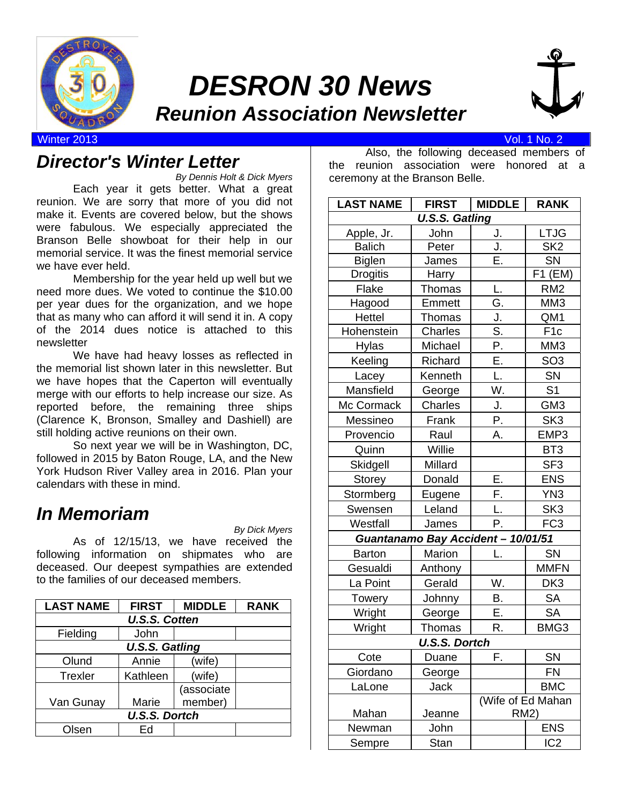

# *DESRON 30 News Reunion Association Newsletter*



#### Winter 2013 Vol. 1 No. 2

### *Director's Winter Letter*

*By Dennis Holt & Dick Myers*  Each year it gets better. What a great reunion. We are sorry that more of you did not make it. Events are covered below, but the shows were fabulous. We especially appreciated the Branson Belle showboat for their help in our memorial service. It was the finest memorial service we have ever held.

Membership for the year held up well but we need more dues. We voted to continue the \$10.00 per year dues for the organization, and we hope that as many who can afford it will send it in. A copy of the 2014 dues notice is attached to this newsletter

We have had heavy losses as reflected in the memorial list shown later in this newsletter. But we have hopes that the Caperton will eventually merge with our efforts to help increase our size. As reported before, the remaining three ships (Clarence K, Bronson, Smalley and Dashiell) are still holding active reunions on their own.

So next year we will be in Washington, DC, followed in 2015 by Baton Rouge, LA, and the New York Hudson River Valley area in 2016. Plan your calendars with these in mind.

# *In Memoriam*

*By Dick Myers* 

 As of 12/15/13, we have received the following information on shipmates who are deceased. Our deepest sympathies are extended to the families of our deceased members.

| <b>LAST NAME</b>      | <b>FIRST</b> | <b>MIDDLE</b> | <b>RANK</b> |  |
|-----------------------|--------------|---------------|-------------|--|
| <b>U.S.S. Cotten</b>  |              |               |             |  |
| Fielding              | John         |               |             |  |
| <b>U.S.S. Gatling</b> |              |               |             |  |
| Olund                 | Annie        | (wife)        |             |  |
| <b>Trexler</b>        | Kathleen     | (wife)        |             |  |
|                       |              | (associate    |             |  |
| Van Gunay             | Marie        | member)       |             |  |
| <b>U.S.S. Dortch</b>  |              |               |             |  |
| Olsen                 | Fd           |               |             |  |

 Also, the following deceased members of the reunion association were honored at a ceremony at the Branson Belle.

| <b>LAST NAME</b>      | <b>FIRST</b>                       | <b>MIDDLE</b>             | <b>RANK</b>       |  |
|-----------------------|------------------------------------|---------------------------|-------------------|--|
| <b>U.S.S. Gatling</b> |                                    |                           |                   |  |
| Apple, Jr.            | John                               | J.                        | <b>LTJG</b>       |  |
| <b>Balich</b>         | Peter                              | J.                        | SK <sub>2</sub>   |  |
| <b>Biglen</b>         | James                              | Е.                        | SN                |  |
| <b>Drogitis</b>       | Harry                              |                           | F1 (EM)           |  |
| Flake                 | Thomas                             | L.                        | RM <sub>2</sub>   |  |
| Hagood                | Emmett                             | G.                        | MM3               |  |
| Hettel                | Thomas                             | J.                        | QM1               |  |
| Hohenstein            | Charles                            | $\overline{\mathsf{S}}$ . | F <sub>1c</sub>   |  |
| Hylas                 | Michael                            | Р.                        | MM3               |  |
| Keeling               | Richard                            | E.                        | SO <sub>3</sub>   |  |
| Lacey                 | Kenneth                            | L.                        | SN                |  |
| Mansfield             | George                             | W.                        | S <sub>1</sub>    |  |
| Mc Cormack            | <b>Charles</b>                     | J.                        | GM <sub>3</sub>   |  |
| Messineo              | Frank                              | Ρ.                        | SK <sub>3</sub>   |  |
| Provencio             | Raul                               | Α.                        | EMP3              |  |
| Quinn                 | Willie                             |                           | BT <sub>3</sub>   |  |
| Skidgell              | Millard                            |                           | SF <sub>3</sub>   |  |
| <b>Storey</b>         | Donald                             | Е.                        | <b>ENS</b>        |  |
| Stormberg             | Eugene                             | F.                        | YN <sub>3</sub>   |  |
| Swensen               | Leland                             | L.                        | SK <sub>3</sub>   |  |
| Westfall              | James                              | Ρ.                        | FC <sub>3</sub>   |  |
|                       | Guantanamo Bay Accident - 10/01/51 |                           |                   |  |
| <b>Barton</b>         | Marion                             | L.                        | SN                |  |
| Gesualdi              | Anthony                            |                           | <b>MMFN</b>       |  |
| La Point              | Gerald                             | W.                        | DK <sub>3</sub>   |  |
| Towery                | Johnny                             | Β.                        | <b>SA</b>         |  |
| Wright                | George                             | E.                        | <b>SA</b>         |  |
| Wright                | Thomas                             | R.                        | BMG3              |  |
| <b>U.S.S. Dortch</b>  |                                    |                           |                   |  |
| Cote                  | Duane                              | F.                        | SN                |  |
| Giordano              | George                             |                           | FN                |  |
| LaLone                | Jack                               |                           | <b>BMC</b>        |  |
|                       |                                    |                           | (Wife of Ed Mahan |  |
| Mahan                 | Jeanne                             | <b>RM2)</b>               |                   |  |
| Newman                | John                               |                           | <b>ENS</b>        |  |
| Sempre                | Stan                               |                           | IC <sub>2</sub>   |  |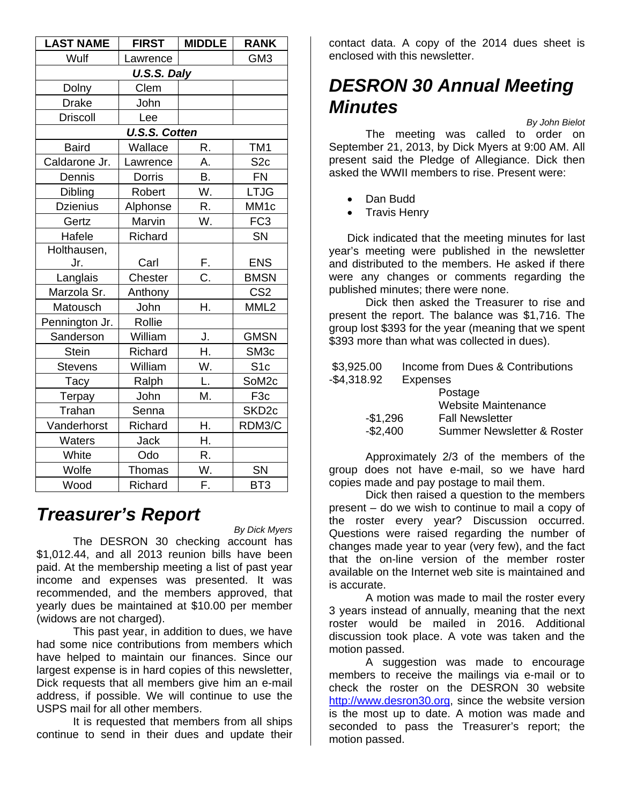| <b>LAST NAME</b> | <b>FIRST</b>         | <b>MIDDLE</b>             | <b>RANK</b>       |  |
|------------------|----------------------|---------------------------|-------------------|--|
| Wulf             | Lawrence             |                           | GM <sub>3</sub>   |  |
| U.S.S. Daly      |                      |                           |                   |  |
| Dolny            | Clem                 |                           |                   |  |
| <b>Drake</b>     | John                 |                           |                   |  |
| <b>Driscoll</b>  | Lee                  |                           |                   |  |
|                  | <b>U.S.S. Cotten</b> |                           |                   |  |
| <b>Baird</b>     | Wallace              | R.                        | TM <sub>1</sub>   |  |
| Caldarone Jr.    | Lawrence             | А.                        | S <sub>2c</sub>   |  |
| Dennis           | Dorris               | Β.                        | <b>FN</b>         |  |
| Dibling          | Robert               | W.                        | <b>LTJG</b>       |  |
| <b>Dzienius</b>  | Alphonse             | R.                        | MM <sub>1c</sub>  |  |
| Gertz            | Marvin               | W.                        | FC <sub>3</sub>   |  |
| Hafele           | Richard              |                           | <b>SN</b>         |  |
| Holthausen,      |                      |                           |                   |  |
| Jr.              | Carl                 | F.                        | <b>ENS</b>        |  |
| Langlais         | Chester              | $\overline{\mathsf{C}}$ . | <b>BMSN</b>       |  |
| Marzola Sr.      | Anthony              |                           | CS <sub>2</sub>   |  |
| Matousch         | John                 | Η.                        | MML <sub>2</sub>  |  |
| Pennington Jr.   | Rollie               |                           |                   |  |
| Sanderson        | William              | J.                        | <b>GMSN</b>       |  |
| <b>Stein</b>     | Richard              | Η.                        | SM <sub>3c</sub>  |  |
| <b>Stevens</b>   | William              | W.                        | S <sub>1c</sub>   |  |
| <b>Tacy</b>      | Ralph                | L.                        | SoM <sub>2c</sub> |  |
| Terpay           | John                 | М.                        | F <sub>3c</sub>   |  |
| Trahan           | Senna                |                           | SKD <sub>2c</sub> |  |
| Vanderhorst      | Richard              | Η.                        | RDM3/C            |  |
| Waters           | Jack                 | Η.                        |                   |  |
| White            | Odo                  | R.                        |                   |  |
| Wolfe            | <b>Thomas</b>        | W.                        | SN                |  |
| Wood             | Richard              | F.                        | BT <sub>3</sub>   |  |

# *Treasurer's Report*

*By Dick Myers* 

 The DESRON 30 checking account has \$1,012.44, and all 2013 reunion bills have been paid. At the membership meeting a list of past year income and expenses was presented. It was recommended, and the members approved, that yearly dues be maintained at \$10.00 per member (widows are not charged).

This past year, in addition to dues, we have had some nice contributions from members which have helped to maintain our finances. Since our largest expense is in hard copies of this newsletter, Dick requests that all members give him an e-mail address, if possible. We will continue to use the USPS mail for all other members.

It is requested that members from all ships continue to send in their dues and update their contact data. A copy of the 2014 dues sheet is enclosed with this newsletter.

# *DESRON 30 Annual Meeting Minutes*

*By John Bielot* 

The meeting was called to order on September 21, 2013, by Dick Myers at 9:00 AM. All present said the Pledge of Allegiance. Dick then asked the WWII members to rise. Present were:

- Dan Budd
- Travis Henry

Dick indicated that the meeting minutes for last year's meeting were published in the newsletter and distributed to the members. He asked if there were any changes or comments regarding the published minutes; there were none.

 Dick then asked the Treasurer to rise and present the report. The balance was \$1,716. The group lost \$393 for the year (meaning that we spent \$393 more than what was collected in dues).

| \$3,925.00   | Income from Dues & Contributions |  |  |
|--------------|----------------------------------|--|--|
| $-$4,318.92$ | <b>Expenses</b>                  |  |  |
|              | Postage                          |  |  |
|              | <b>Website Maintenance</b>       |  |  |
| $-$1,296$    | <b>Fall Newsletter</b>           |  |  |
| $-$2,400$    | Summer Newsletter & Roster       |  |  |

Approximately 2/3 of the members of the group does not have e-mail, so we have hard copies made and pay postage to mail them.

Dick then raised a question to the members present – do we wish to continue to mail a copy of the roster every year? Discussion occurred. Questions were raised regarding the number of changes made year to year (very few), and the fact that the on-line version of the member roster available on the Internet web site is maintained and is accurate.

A motion was made to mail the roster every 3 years instead of annually, meaning that the next roster would be mailed in 2016. Additional discussion took place. A vote was taken and the motion passed.

A suggestion was made to encourage members to receive the mailings via e-mail or to check the roster on the DESRON 30 website http://www.desron30.org, since the website version is the most up to date. A motion was made and seconded to pass the Treasurer's report; the motion passed.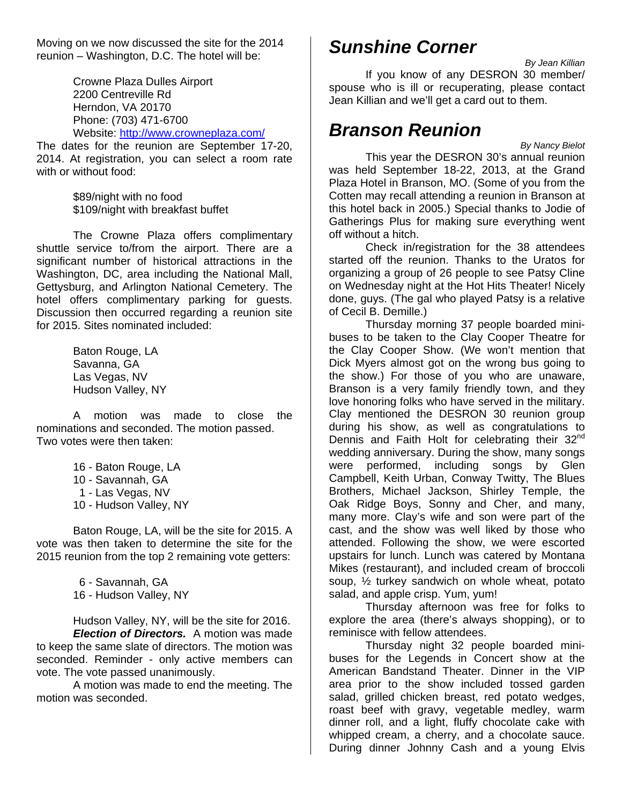Moving on we now discussed the site for the 2014 reunion – Washington, D.C. The hotel will be:

> Crowne Plaza Dulles Airport 2200 Centreville Rd Herndon, VA 20170 Phone: (703) 471-6700 Website: http://www.crowneplaza.com/

The dates for the reunion are September 17-20, 2014. At registration, you can select a room rate with or without food:

> \$89/night with no food \$109/night with breakfast buffet

The Crowne Plaza offers complimentary shuttle service to/from the airport. There are a significant number of historical attractions in the Washington, DC, area including the National Mall, Gettysburg, and Arlington National Cemetery. The hotel offers complimentary parking for guests. Discussion then occurred regarding a reunion site for 2015. Sites nominated included:

> Baton Rouge, LA Savanna, GA Las Vegas, NV Hudson Valley, NY

A motion was made to close the nominations and seconded. The motion passed. Two votes were then taken:

- 16 Baton Rouge, LA
- 10 Savannah, GA
- 1 Las Vegas, NV
- 10 Hudson Valley, NY

Baton Rouge, LA, will be the site for 2015. A vote was then taken to determine the site for the 2015 reunion from the top 2 remaining vote getters:

> 6 - Savannah, GA 16 - Hudson Valley, NY

Hudson Valley, NY, will be the site for 2016. *Election of Directors.* A motion was made to keep the same slate of directors. The motion was seconded. Reminder - only active members can vote. The vote passed unanimously.

A motion was made to end the meeting. The motion was seconded.

#### *Sunshine Corner*

*By Jean Killian*  If you know of any DESRON 30 member/ spouse who is ill or recuperating, please contact Jean Killian and we'll get a card out to them.

#### *Branson Reunion*

*By Nancy Bielot* 

 This year the DESRON 30's annual reunion was held September 18-22, 2013, at the Grand Plaza Hotel in Branson, MO. (Some of you from the Cotten may recall attending a reunion in Branson at this hotel back in 2005.) Special thanks to Jodie of Gatherings Plus for making sure everything went off without a hitch.

 Check in/registration for the 38 attendees started off the reunion. Thanks to the Uratos for organizing a group of 26 people to see Patsy Cline on Wednesday night at the Hot Hits Theater! Nicely done, guys. (The gal who played Patsy is a relative of Cecil B. Demille.)

 Thursday morning 37 people boarded minibuses to be taken to the Clay Cooper Theatre for the Clay Cooper Show. (We won't mention that Dick Myers almost got on the wrong bus going to the show.) For those of you who are unaware, Branson is a very family friendly town, and they love honoring folks who have served in the military. Clay mentioned the DESRON 30 reunion group during his show, as well as congratulations to Dennis and Faith Holt for celebrating their 32<sup>nd</sup> wedding anniversary. During the show, many songs were performed, including songs by Glen Campbell, Keith Urban, Conway Twitty, The Blues Brothers, Michael Jackson, Shirley Temple, the Oak Ridge Boys, Sonny and Cher, and many, many more. Clay's wife and son were part of the cast, and the show was well liked by those who attended. Following the show, we were escorted upstairs for lunch. Lunch was catered by Montana Mikes (restaurant), and included cream of broccoli soup, ½ turkey sandwich on whole wheat, potato salad, and apple crisp. Yum, yum!

 Thursday afternoon was free for folks to explore the area (there's always shopping), or to reminisce with fellow attendees.

 Thursday night 32 people boarded minibuses for the Legends in Concert show at the American Bandstand Theater. Dinner in the VIP area prior to the show included tossed garden salad, grilled chicken breast, red potato wedges, roast beef with gravy, vegetable medley, warm dinner roll, and a light, fluffy chocolate cake with whipped cream, a cherry, and a chocolate sauce. During dinner Johnny Cash and a young Elvis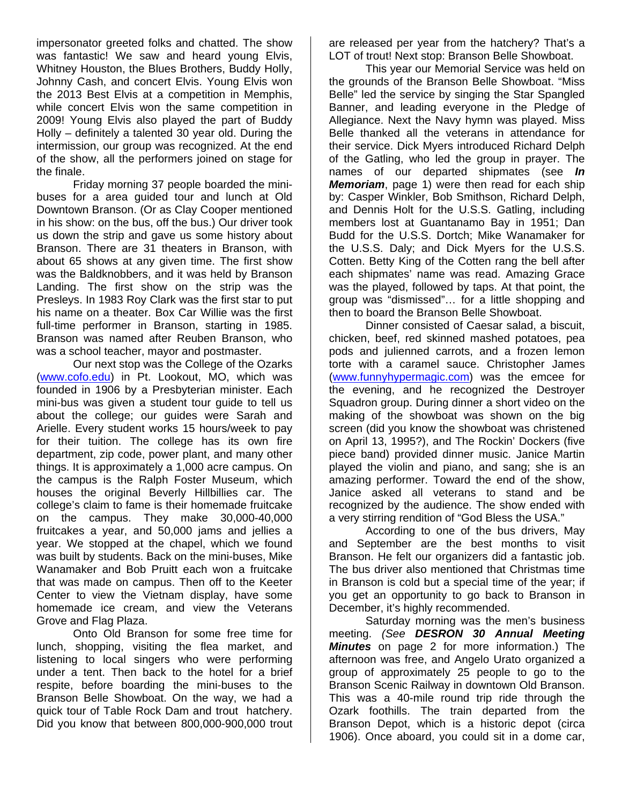impersonator greeted folks and chatted. The show was fantastic! We saw and heard young Elvis, Whitney Houston, the Blues Brothers, Buddy Holly, Johnny Cash, and concert Elvis. Young Elvis won the 2013 Best Elvis at a competition in Memphis, while concert Elvis won the same competition in 2009! Young Elvis also played the part of Buddy Holly – definitely a talented 30 year old. During the intermission, our group was recognized. At the end of the show, all the performers joined on stage for the finale.

 Friday morning 37 people boarded the minibuses for a area guided tour and lunch at Old Downtown Branson. (Or as Clay Cooper mentioned in his show: on the bus, off the bus.) Our driver took us down the strip and gave us some history about Branson. There are 31 theaters in Branson, with about 65 shows at any given time. The first show was the Baldknobbers, and it was held by Branson Landing. The first show on the strip was the Presleys. In 1983 Roy Clark was the first star to put his name on a theater. Box Car Willie was the first full-time performer in Branson, starting in 1985. Branson was named after Reuben Branson, who was a school teacher, mayor and postmaster.

Our next stop was the College of the Ozarks (www.cofo.edu) in Pt. Lookout, MO, which was founded in 1906 by a Presbyterian minister. Each mini-bus was given a student tour guide to tell us about the college; our guides were Sarah and Arielle. Every student works 15 hours/week to pay for their tuition. The college has its own fire department, zip code, power plant, and many other things. It is approximately a 1,000 acre campus. On the campus is the Ralph Foster Museum, which houses the original Beverly Hillbillies car. The college's claim to fame is their homemade fruitcake on the campus. They make 30,000-40,000 fruitcakes a year, and 50,000 jams and jellies a year. We stopped at the chapel, which we found was built by students. Back on the mini-buses, Mike Wanamaker and Bob Pruitt each won a fruitcake that was made on campus. Then off to the Keeter Center to view the Vietnam display, have some homemade ice cream, and view the Veterans Grove and Flag Plaza.

Onto Old Branson for some free time for lunch, shopping, visiting the flea market, and listening to local singers who were performing under a tent. Then back to the hotel for a brief respite, before boarding the mini-buses to the Branson Belle Showboat. On the way, we had a quick tour of Table Rock Dam and trout hatchery. Did you know that between 800,000-900,000 trout are released per year from the hatchery? That's a LOT of trout! Next stop: Branson Belle Showboat.

This year our Memorial Service was held on the grounds of the Branson Belle Showboat. "Miss Belle" led the service by singing the Star Spangled Banner, and leading everyone in the Pledge of Allegiance. Next the Navy hymn was played. Miss Belle thanked all the veterans in attendance for their service. Dick Myers introduced Richard Delph of the Gatling, who led the group in prayer. The names of our departed shipmates (see *In Memoriam*, page 1) were then read for each ship by: Casper Winkler, Bob Smithson, Richard Delph, and Dennis Holt for the U.S.S. Gatling, including members lost at Guantanamo Bay in 1951; Dan Budd for the U.S.S. Dortch; Mike Wanamaker for the U.S.S. Daly; and Dick Myers for the U.S.S. Cotten. Betty King of the Cotten rang the bell after each shipmates' name was read. Amazing Grace was the played, followed by taps. At that point, the group was "dismissed"… for a little shopping and then to board the Branson Belle Showboat.

Dinner consisted of Caesar salad, a biscuit, chicken, beef, red skinned mashed potatoes, pea pods and julienned carrots, and a frozen lemon torte with a caramel sauce. Christopher James (www.funnyhypermagic.com) was the emcee for the evening, and he recognized the Destroyer Squadron group. During dinner a short video on the making of the showboat was shown on the big screen (did you know the showboat was christened on April 13, 1995?), and The Rockin' Dockers (five piece band) provided dinner music. Janice Martin played the violin and piano, and sang; she is an amazing performer. Toward the end of the show, Janice asked all veterans to stand and be recognized by the audience. The show ended with a very stirring rendition of "God Bless the USA."

According to one of the bus drivers, May and September are the best months to visit Branson. He felt our organizers did a fantastic job. The bus driver also mentioned that Christmas time in Branson is cold but a special time of the year; if you get an opportunity to go back to Branson in December, it's highly recommended.

Saturday morning was the men's business meeting. *(See DESRON 30 Annual Meeting Minutes* on page 2 for more information.) The afternoon was free, and Angelo Urato organized a group of approximately 25 people to go to the Branson Scenic Railway in downtown Old Branson. This was a 40-mile round trip ride through the Ozark foothills. The train departed from the Branson Depot, which is a historic depot (circa 1906). Once aboard, you could sit in a dome car,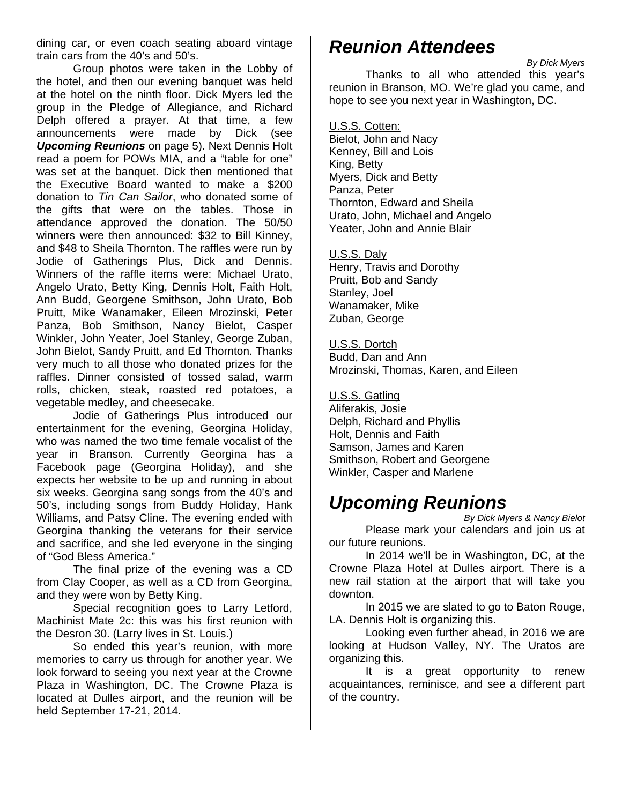dining car, or even coach seating aboard vintage train cars from the 40's and 50's.

Group photos were taken in the Lobby of the hotel, and then our evening banquet was held at the hotel on the ninth floor. Dick Myers led the group in the Pledge of Allegiance, and Richard Delph offered a prayer. At that time, a few announcements were made by Dick (see *Upcoming Reunions* on page 5). Next Dennis Holt read a poem for POWs MIA, and a "table for one" was set at the banquet. Dick then mentioned that the Executive Board wanted to make a \$200 donation to *Tin Can Sailor*, who donated some of the gifts that were on the tables. Those in attendance approved the donation. The 50/50 winners were then announced: \$32 to Bill Kinney, and \$48 to Sheila Thornton. The raffles were run by Jodie of Gatherings Plus, Dick and Dennis. Winners of the raffle items were: Michael Urato, Angelo Urato, Betty King, Dennis Holt, Faith Holt, Ann Budd, Georgene Smithson, John Urato, Bob Pruitt, Mike Wanamaker, Eileen Mrozinski, Peter Panza, Bob Smithson, Nancy Bielot, Casper Winkler, John Yeater, Joel Stanley, George Zuban, John Bielot, Sandy Pruitt, and Ed Thornton. Thanks very much to all those who donated prizes for the raffles. Dinner consisted of tossed salad, warm rolls, chicken, steak, roasted red potatoes, a vegetable medley, and cheesecake.

Jodie of Gatherings Plus introduced our entertainment for the evening, Georgina Holiday, who was named the two time female vocalist of the year in Branson. Currently Georgina has a Facebook page (Georgina Holiday), and she expects her website to be up and running in about six weeks. Georgina sang songs from the 40's and 50's, including songs from Buddy Holiday, Hank Williams, and Patsy Cline. The evening ended with Georgina thanking the veterans for their service and sacrifice, and she led everyone in the singing of "God Bless America."

The final prize of the evening was a CD from Clay Cooper, as well as a CD from Georgina, and they were won by Betty King.

Special recognition goes to Larry Letford, Machinist Mate 2c: this was his first reunion with the Desron 30. (Larry lives in St. Louis.)

So ended this year's reunion, with more memories to carry us through for another year. We look forward to seeing you next year at the Crowne Plaza in Washington, DC. The Crowne Plaza is located at Dulles airport, and the reunion will be held September 17-21, 2014.

## *Reunion Attendees*

*By Dick Myers*  Thanks to all who attended this year's reunion in Branson, MO. We're glad you came, and hope to see you next year in Washington, DC.

U.S.S. Cotten: Bielot, John and Nacy Kenney, Bill and Lois King, Betty Myers, Dick and Betty Panza, Peter Thornton, Edward and Sheila Urato, John, Michael and Angelo Yeater, John and Annie Blair

U.S.S. Daly Henry, Travis and Dorothy Pruitt, Bob and Sandy Stanley, Joel Wanamaker, Mike Zuban, George

U.S.S. Dortch Budd, Dan and Ann Mrozinski, Thomas, Karen, and Eileen

#### U.S.S. Gatling

Aliferakis, Josie Delph, Richard and Phyllis Holt, Dennis and Faith Samson, James and Karen Smithson, Robert and Georgene Winkler, Casper and Marlene

### *Upcoming Reunions*

*By Dick Myers & Nancy Bielot*  Please mark your calendars and join us at our future reunions.

In 2014 we'll be in Washington, DC, at the Crowne Plaza Hotel at Dulles airport. There is a new rail station at the airport that will take you downton.

 In 2015 we are slated to go to Baton Rouge, LA. Dennis Holt is organizing this.

 Looking even further ahead, in 2016 we are looking at Hudson Valley, NY. The Uratos are organizing this.

 It is a great opportunity to renew acquaintances, reminisce, and see a different part of the country.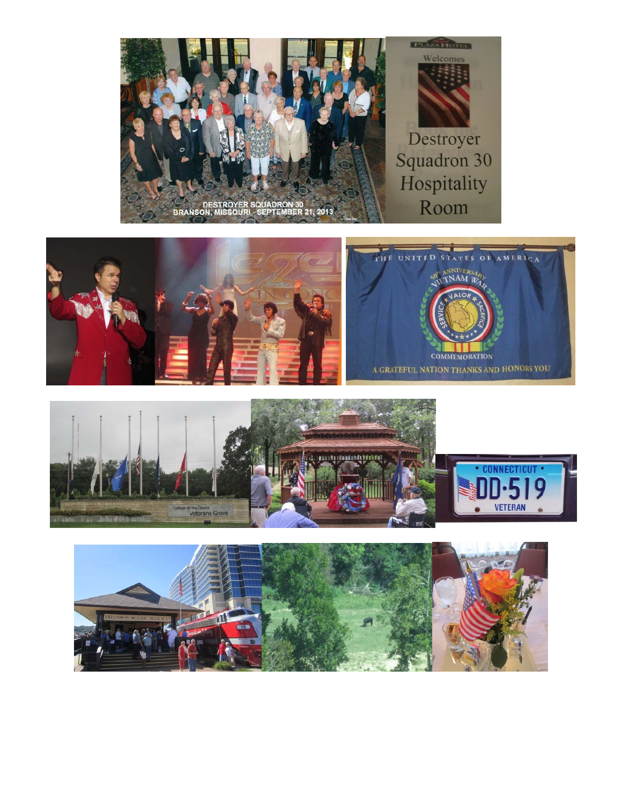



Veterans Grove